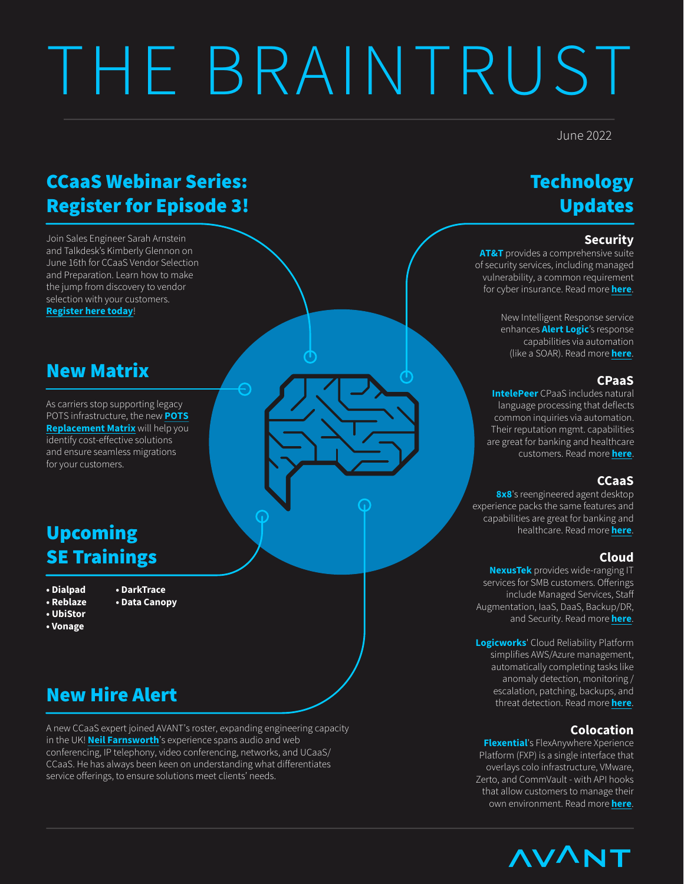# THE BRAINTRUST

#### June 2022

## CCaaS Webinar Series: Register for Episode 3!

Join Sales Engineer Sarah Arnstein and Talkdesk's Kimberly Glennon on June 16th for CCaaS Vendor Selection and Preparation. Learn how to make the jump from discovery to vendor selection with your customers.

**[Register here today](https://zoom.us/webinar/register/5416523710999/WN_WHMRbmIuRFWEMaaXaRusDQ)**!

### New Matrix

As carriers stop supporting legacy [POTS infrastructure, the new](https://www.gopathfinder.net/apex/Comm_DynamicMatrices?selectedMatrixName=POTS Replacement Matrix&selectedMatrix=a2b4z000001ZczV) **POTS Replacement Matrix** will help you identify cost-effective solutions and ensure seamless migrations for your customers.

## Upcoming SE Trainings

- **Dialpad**
- **DarkTrace • Data Canopy**
- **Reblaze • UbiStor**
- 
- 
- **Vonage**

# New Hire Alert

A new CCaaS expert joined AVANT's roster, expanding engineering capacity in the UK! **[Neil Farnsworth](https://www.linkedin.com/in/neilfarnsworth/)**'s experience spans audio and web conferencing, IP telephony, video conferencing, networks, and UCaaS/ CCaaS. He has always been keen on understanding what differentiates service offerings, to ensure solutions meet clients' needs.

# **Technology** Updates

#### **Security**

**AT&T** provides a comprehensive suite of security services, including managed vulnerability, a common requirement for cyber insurance. Read more **[here](https://www.gopathfinder.net/apex/Comm_KnowledgeArticle?articleId=ka04z000000x08b)**.

> New Intelligent Response service enhances **Alert Logic**'s response capabilities via automation (like a SOAR). Read more **[here](https://www.gopathfinder.net/apex/Comm_KnowledgeArticle?articleId=ka04z000000kFei)**.

#### **CPaaS**

**IntelePeer** CPaaS includes natural language processing that deflects common inquiries via automation. Their reputation mgmt. capabilities are great for banking and healthcare customers. Read more **[here](https://www.gopathfinder.net/apex/Comm_KnowledgeArticle?articleId=ka04z000000x08M)**.

#### **CCaaS**

**8x8**'s reengineered agent desktop experience packs the same features and capabilities are great for banking and healthcare. Read more **[here](https://www.gopathfinder.net/apex/Comm_KnowledgeArticle?articleId=ka04z000000x08v)**.

#### **Cloud**

**NexusTek** provides wide-ranging IT services for SMB customers. Offerings include Managed Services, Sta Augmentation, IaaS, DaaS, Backup/DR, and Security. Read more **[here](https://www.gopathfinder.net/apex/Comm_KnowledgeArticle?articleId=ka04z000000kFby)**.

**Logicworks**' Cloud Reliability Platform simplifies AWS/Azure management, automatically completing tasks like anomaly detection, monitoring / escalation, patching, backups, and threat detection. Read more **[here](https://www.gopathfinder.net/apex/Comm_KnowledgeArticle?articleId=ka04z000000x08q)**.

#### **Colocation**

**Flexential**'s FlexAnywhere Xperience Platform (FXP) is a single interface that overlays colo infrastructure, VMware, Zerto, and CommVault - with API hooks that allow customers to manage their own environment. Read more **[here](https://www.gopathfinder.net/apex/Comm_KnowledgeArticle?articleId=ka04z000000kFc8)**.

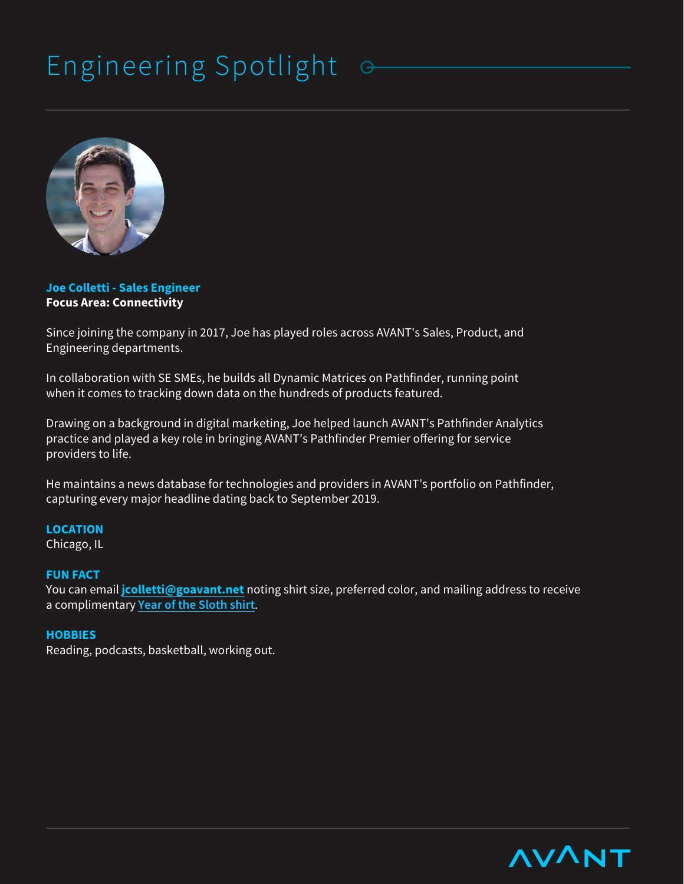# Engineering Spotlight



**Joe Colletti - Sales Engineer Focus Area: Connectivity**

Since joining the company in 2017, Joe has played roles across AVANT's Sales, Product, and Engineering departments.

In collaboration with SE SMEs, he builds all Dynamic Matrices on Pathfinder, running point when it comes to tracking down data on the hundreds of products featured.

Drawing on a background in digital marketing, Joe helped launch AVANT's Pathfinder Analytics practice and played a key role in bringing AVANT's Pathfinder Premier offering for service providers to life.

He maintains a news database for technologies and providers in AVANT's portfolio on Pathfinder, capturing every major headline dating back to September 2019.

#### **LOCATION**

Chicago, IL

#### **FUN FACT**

You can email **jcolletti@goavant.net** noting shirt size, preferred color, and mailing address to receive a complimentary **[Year of the Sloth shirt](https://www.yearofthesloth.com/)**.

#### **HOBBIES**

Reading, podcasts, basketball, working out.